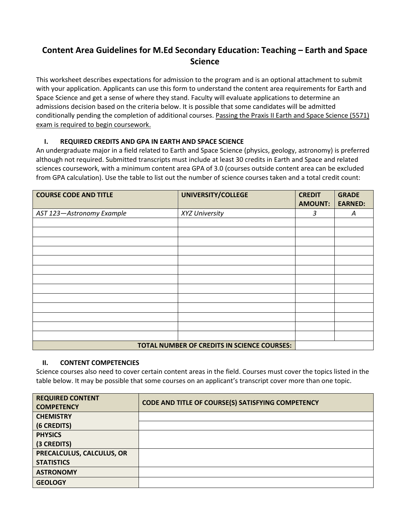## **Content Area Guidelines for M.Ed Secondary Education: Teaching – Earth and Space Science**

This worksheet describes expectations for admission to the program and is an optional attachment to submit with your application. Applicants can use this form to understand the content area requirements for Earth and Space Science and get a sense of where they stand. Faculty will evaluate applications to determine an admissions decision based on the criteria below. It is possible that some candidates will be admitted conditionally pending the completion of additional courses. Passing the Praxis II Earth and Space Science (5571) exam is required to begin coursework.

## **I. REQUIRED CREDITS AND GPA IN EARTH AND SPACE SCIENCE**

An undergraduate major in a field related to Earth and Space Science (physics, geology, astronomy) is preferred although not required. Submitted transcripts must include at least 30 credits in Earth and Space and related sciences coursework, with a minimum content area GPA of 3.0 (courses outside content area can be excluded from GPA calculation). Use the table to list out the number of science courses taken and a total credit count:

| <b>COURSE CODE AND TITLE</b> | UNIVERSITY/COLLEGE                          | <b>CREDIT</b><br><b>AMOUNT:</b> | <b>GRADE</b><br><b>EARNED:</b> |
|------------------------------|---------------------------------------------|---------------------------------|--------------------------------|
|                              |                                             |                                 |                                |
| AST 123-Astronomy Example    | XYZ University                              | 3                               | A                              |
|                              |                                             |                                 |                                |
|                              |                                             |                                 |                                |
|                              |                                             |                                 |                                |
|                              |                                             |                                 |                                |
|                              |                                             |                                 |                                |
|                              |                                             |                                 |                                |
|                              |                                             |                                 |                                |
|                              |                                             |                                 |                                |
|                              |                                             |                                 |                                |
|                              |                                             |                                 |                                |
|                              |                                             |                                 |                                |
|                              |                                             |                                 |                                |
|                              |                                             |                                 |                                |
|                              | TOTAL NUMBER OF CREDITS IN SCIENCE COURSES: |                                 |                                |

## **II. CONTENT COMPETENCIES**

Science courses also need to cover certain content areas in the field. Courses must cover the topics listed in the table below. It may be possible that some courses on an applicant's transcript cover more than one topic.

| <b>REQUIRED CONTENT</b><br><b>COMPETENCY</b> | CODE AND TITLE OF COURSE(S) SATISFYING COMPETENCY |
|----------------------------------------------|---------------------------------------------------|
| <b>CHEMISTRY</b>                             |                                                   |
| (6 CREDITS)                                  |                                                   |
| <b>PHYSICS</b>                               |                                                   |
| (3 CREDITS)                                  |                                                   |
| PRECALCULUS, CALCULUS, OR                    |                                                   |
| <b>STATISTICS</b>                            |                                                   |
| <b>ASTRONOMY</b>                             |                                                   |
| <b>GEOLOGY</b>                               |                                                   |